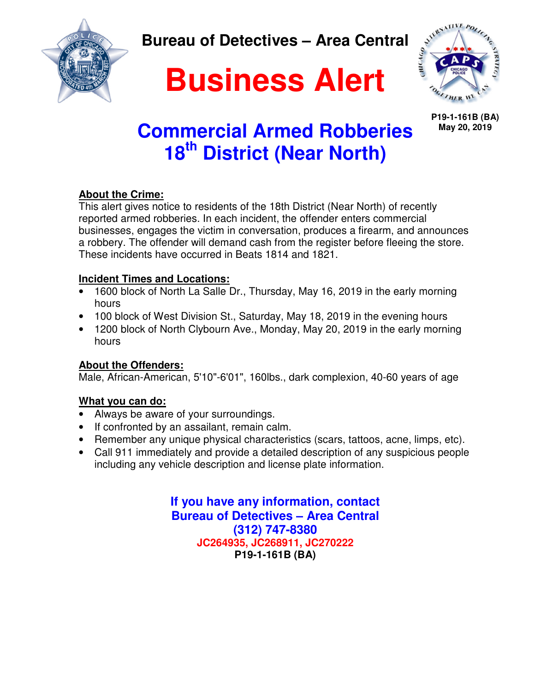**Read** 

**Bureau of Detectives – Area Central** 

# **Business Alert**



**P19-1-161B (BA) May 20, 2019**

## **Commercial Armed Robberies 18th District (Near North)**

### **About the Crime:**

This alert gives notice to residents of the 18th District (Near North) of recently reported armed robberies. In each incident, the offender enters commercial businesses, engages the victim in conversation, produces a firearm, and announces a robbery. The offender will demand cash from the register before fleeing the store. These incidents have occurred in Beats 1814 and 1821.

### **Incident Times and Locations:**

- 1600 block of North La Salle Dr., Thursday, May 16, 2019 in the early morning hours
- 100 block of West Division St., Saturday, May 18, 2019 in the evening hours
- 1200 block of North Clybourn Ave., Monday, May 20, 2019 in the early morning hours

### **About the Offenders:**

Male, African-American, 5'10"-6'01", 160lbs., dark complexion, 40-60 years of age

### **What you can do:**

- Always be aware of your surroundings.
- If confronted by an assailant, remain calm.
- Remember any unique physical characteristics (scars, tattoos, acne, limps, etc).
- Call 911 immediately and provide a detailed description of any suspicious people including any vehicle description and license plate information.

**If you have any information, contact Bureau of Detectives – Area Central (312) 747-8380 JC264935, JC268911, JC270222 P19-1-161B (BA)**